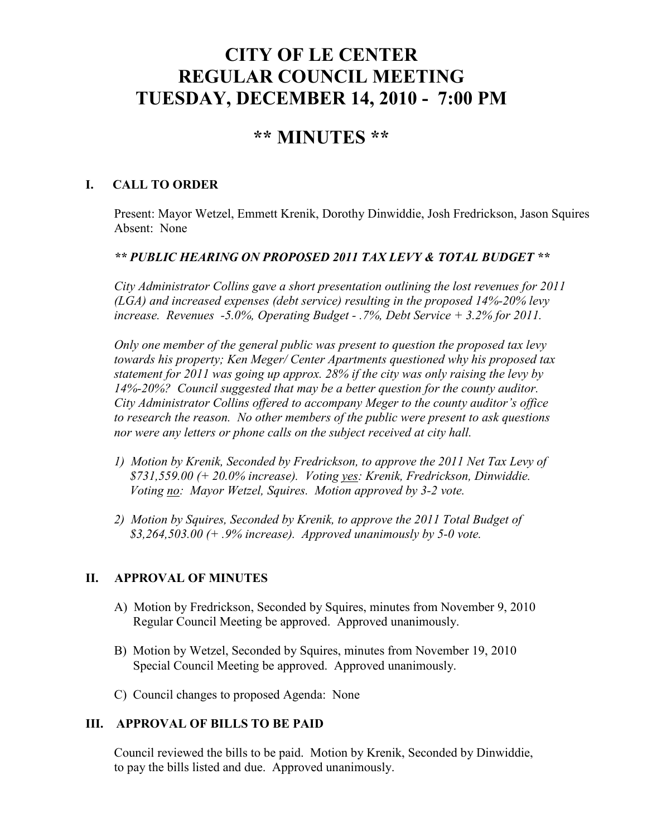# **CITY OF LE CENTER REGULAR COUNCIL MEETING TUESDAY, DECEMBER 14, 2010 - 7:00 PM**

## **\*\* MINUTES \*\***

## **I. CALL TO ORDER**

Present: Mayor Wetzel, Emmett Krenik, Dorothy Dinwiddie, Josh Fredrickson, Jason Squires Absent: None

## *\*\* PUBLIC HEARING ON PROPOSED 2011 TAX LEVY & TOTAL BUDGET \*\**

*City Administrator Collins gave a short presentation outlining the lost revenues for 2011 (LGA) and increased expenses (debt service) resulting in the proposed 14%-20% levy increase. Revenues -5.0%, Operating Budget - .7%, Debt Service + 3.2% for 2011.* 

*Only one member of the general public was present to question the proposed tax levy towards his property; Ken Meger/ Center Apartments questioned why his proposed tax statement for 2011 was going up approx. 28% if the city was only raising the levy by 14%-20%? Council suggested that may be a better question for the county auditor. City Administrator Collins offered to accompany Meger to the county auditor's office to research the reason. No other members of the public were present to ask questions nor were any letters or phone calls on the subject received at city hall.* 

- *1) Motion by Krenik, Seconded by Fredrickson, to approve the 2011 Net Tax Levy of \$731,559.00 (+ 20.0% increase). Voting yes: Krenik, Fredrickson, Dinwiddie. Voting no: Mayor Wetzel, Squires. Motion approved by 3-2 vote.*
- *2) Motion by Squires, Seconded by Krenik, to approve the 2011 Total Budget of \$3,264,503.00 (+ .9% increase). Approved unanimously by 5-0 vote.*

## **II. APPROVAL OF MINUTES**

- A) Motion by Fredrickson, Seconded by Squires, minutes from November 9, 2010 Regular Council Meeting be approved. Approved unanimously.
- B) Motion by Wetzel, Seconded by Squires, minutes from November 19, 2010 Special Council Meeting be approved. Approved unanimously.
- C) Council changes to proposed Agenda: None

## **III. APPROVAL OF BILLS TO BE PAID**

Council reviewed the bills to be paid. Motion by Krenik, Seconded by Dinwiddie, to pay the bills listed and due. Approved unanimously.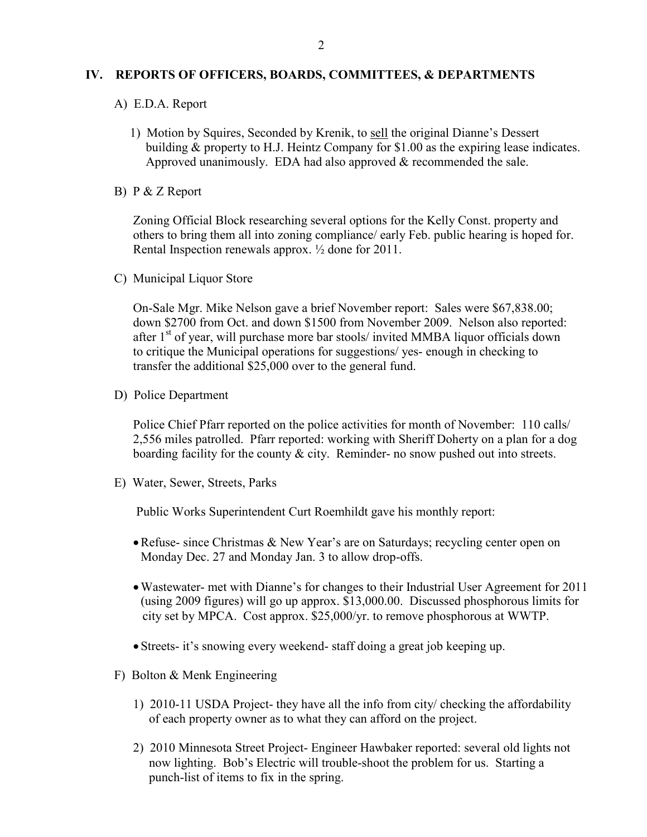#### **IV. REPORTS OF OFFICERS, BOARDS, COMMITTEES, & DEPARTMENTS**

- A) E.D.A. Report
	- 1) Motion by Squires, Seconded by Krenik, to sell the original Dianne's Dessert building & property to H.J. Heintz Company for \$1.00 as the expiring lease indicates. Approved unanimously. EDA had also approved & recommended the sale.
- B) P & Z Report

 Zoning Official Block researching several options for the Kelly Const. property and others to bring them all into zoning compliance/ early Feb. public hearing is hoped for. Rental Inspection renewals approx. ½ done for 2011.

C) Municipal Liquor Store

On-Sale Mgr. Mike Nelson gave a brief November report: Sales were \$67,838.00; down \$2700 from Oct. and down \$1500 from November 2009. Nelson also reported: after  $1<sup>st</sup>$  of year, will purchase more bar stools/ invited MMBA liquor officials down to critique the Municipal operations for suggestions/ yes- enough in checking to transfer the additional \$25,000 over to the general fund.

D) Police Department

Police Chief Pfarr reported on the police activities for month of November: 110 calls/ 2,556 miles patrolled. Pfarr reported: working with Sheriff Doherty on a plan for a dog boarding facility for the county & city. Reminder- no snow pushed out into streets.

E) Water, Sewer, Streets, Parks

Public Works Superintendent Curt Roemhildt gave his monthly report:

- Refuse- since Christmas & New Year's are on Saturdays; recycling center open on Monday Dec. 27 and Monday Jan. 3 to allow drop-offs.
- •Wastewater- met with Dianne's for changes to their Industrial User Agreement for 2011 (using 2009 figures) will go up approx. \$13,000.00. Discussed phosphorous limits for city set by MPCA. Cost approx. \$25,000/yr. to remove phosphorous at WWTP.
- Streets- it's snowing every weekend- staff doing a great job keeping up.
- F) Bolton & Menk Engineering
	- 1) 2010-11 USDA Project- they have all the info from city/ checking the affordability of each property owner as to what they can afford on the project.
	- 2) 2010 Minnesota Street Project- Engineer Hawbaker reported: several old lights not now lighting. Bob's Electric will trouble-shoot the problem for us. Starting a punch-list of items to fix in the spring.